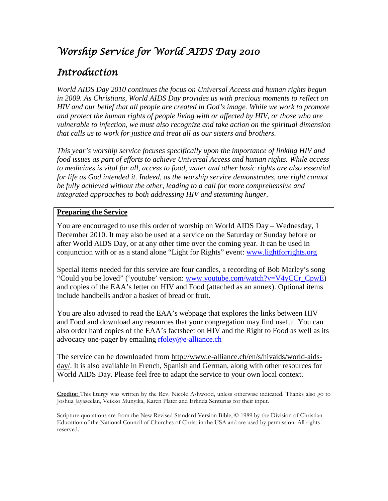# Worship Service for World AIDS Day 2010

# Introduction

*World AIDS Day 2010 continues the focus on Universal Access and human rights begun in 2009. As Christians, World AIDS Day provides us with precious moments to reflect on HIV and our belief that all people are created in God's image. While we work to promote and protect the human rights of people living with or affected by HIV, or those who are vulnerable to infection, we must also recognize and take action on the spiritual dimension that calls us to work for justice and treat all as our sisters and brothers.* 

*This year's worship service focuses specifically upon the importance of linking HIV and food issues as part of efforts to achieve Universal Access and human rights. While access to medicines is vital for all, access to food, water and other basic rights are also essential for life as God intended it. Indeed, as the worship service demonstrates, one right cannot be fully achieved without the other, leading to a call for more comprehensive and integrated approaches to both addressing HIV and stemming hunger.* 

#### **Preparing the Service**

You are encouraged to use this order of worship on World AIDS Day – Wednesday, 1 December 2010. It may also be used at a service on the Saturday or Sunday before or after World AIDS Day, or at any other time over the coming year. It can be used in conjunction with or as a stand alone "Light for Rights" event: www.lightforrights.org

Special items needed for this service are four candles, a recording of Bob Marley's song "Could you be loved" ('youtube' version: www.youtube.com/watch?v=V4yCCr\_CpwE) and copies of the EAA's letter on HIV and Food (attached as an annex). Optional items include handbells and/or a basket of bread or fruit.

You are also advised to read the EAA's webpage that explores the links between HIV and Food and download any resources that your congregation may find useful. You can also order hard copies of the EAA's factsheet on HIV and the Right to Food as well as its advocacy one-pager by emailing rfoley@e-alliance.ch

The service can be downloaded from http://www.e-alliance.ch/en/s/hivaids/world-aidsday/. It is also available in French, Spanish and German, along with other resources for World AIDS Day. Please feel free to adapt the service to your own local context.

Credits: This liturgy was written by the Rev. Nicole Ashwood, unless otherwise indicated. Thanks also go to Joshua Jayaseelan, Veikko Munyika, Karen Plater and Erlinda Senturias for their input.

Scripture quotations are from the New Revised Standard Version Bible, © 1989 by the Division of Christian Education of the National Council of Churches of Christ in the USA and are used by permission. All rights reserved.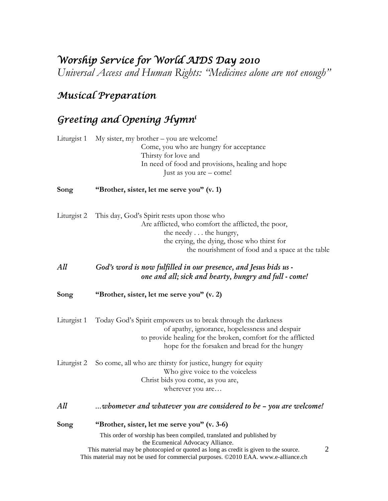# Worship Service for World AIDS Day 2010

Universal Access and Human Rights: "Medicines alone are not enough"

# Musical Preparation

### Greeting and Opening Hymn<sup>i</sup>

|             | Liturgist 1 My sister, my brother – you are welcome!                                                                                                                                          |
|-------------|-----------------------------------------------------------------------------------------------------------------------------------------------------------------------------------------------|
|             | Come, you who are hungry for acceptance                                                                                                                                                       |
|             | Thirsty for love and                                                                                                                                                                          |
|             | In need of food and provisions, healing and hope                                                                                                                                              |
|             | Just as you are – come!                                                                                                                                                                       |
| Song        | "Brother, sister, let me serve you" (v. 1)                                                                                                                                                    |
| Liturgist 2 | This day, God's Spirit rests upon those who                                                                                                                                                   |
|             | Are afflicted, who comfort the afflicted, the poor,                                                                                                                                           |
|             | the needy the hungry,                                                                                                                                                                         |
|             | the crying, the dying, those who thirst for                                                                                                                                                   |
|             | the nourishment of food and a space at the table                                                                                                                                              |
|             |                                                                                                                                                                                               |
| All         | God's word is now fulfilled in our presence, and Jesus bids us -<br>one and all; sick and hearty, hungry and full - come!                                                                     |
| Song        | "Brother, sister, let me serve you" (v. 2)                                                                                                                                                    |
| Liturgist 1 | Today God's Spirit empowers us to break through the darkness                                                                                                                                  |
|             | of apathy, ignorance, hopelessness and despair                                                                                                                                                |
|             | to provide healing for the broken, comfort for the afflicted                                                                                                                                  |
|             | hope for the forsaken and bread for the hungry                                                                                                                                                |
| Liturgist 2 | So come, all who are thirsty for justice, hungry for equity                                                                                                                                   |
|             | Who give voice to the voiceless                                                                                                                                                               |
|             | Christ bids you come, as you are,                                                                                                                                                             |
|             | wherever you are                                                                                                                                                                              |
| All         | whomever and whatever you are considered to be – you are welcome!                                                                                                                             |
| Song        | "Brother, sister, let me serve you" (v. 3-6)                                                                                                                                                  |
|             | This order of worship has been compiled, translated and published by                                                                                                                          |
|             | the Ecumenical Advocacy Alliance.                                                                                                                                                             |
|             | $\overline{2}$<br>This material may be photocopied or quoted as long as credit is given to the source.<br>This material may not be used for commercial purposes. ©2010 EAA. www.e-alliance.ch |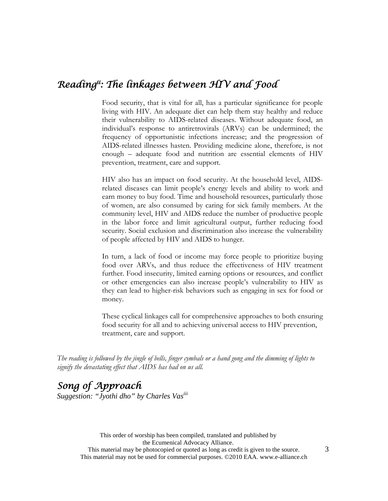## Reading": The linkages between  $H\!I\!V$  and Food

 Food security, that is vital for all, has a particular significance for people living with HIV. An adequate diet can help them stay healthy and reduce their vulnerability to AIDS-related diseases. Without adequate food, an individual's response to antiretrovirals (ARVs) can be undermined; the frequency of opportunistic infections increase; and the progression of AIDS-related illnesses hasten. Providing medicine alone, therefore, is not enough – adequate food and nutrition are essential elements of HIV prevention, treatment, care and support.

HIV also has an impact on food security. At the household level, AIDSrelated diseases can limit people's energy levels and ability to work and earn money to buy food. Time and household resources, particularly those of women, are also consumed by caring for sick family members. At the community level, HIV and AIDS reduce the number of productive people in the labor force and limit agricultural output, further reducing food security. Social exclusion and discrimination also increase the vulnerability of people affected by HIV and AIDS to hunger.

In turn, a lack of food or income may force people to prioritize buying food over ARVs, and thus reduce the effectiveness of HIV treatment further. Food insecurity, limited earning options or resources, and conflict or other emergencies can also increase people's vulnerability to HIV as they can lead to higher-risk behaviors such as engaging in sex for food or money.

These cyclical linkages call for comprehensive approaches to both ensuring food security for all and to achieving universal access to HIV prevention, treatment, care and support.

The reading is followed by the jingle of bells, finger cymbals or a hand gong and the dimming of lights to signify the devastating effect that AIDS has had on us all.

Song of Approach *Suggestion: "Jyothi dho" by Charles Vasiii*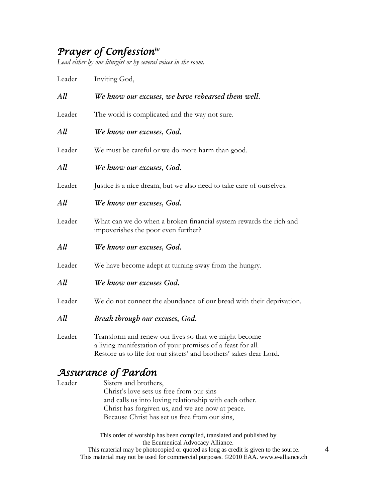# Prayer of Confession<sup>iv</sup>

Lead either by one liturgist or by several voices in the room.

| Leader | Inviting God,                                                                                                                                                                              |
|--------|--------------------------------------------------------------------------------------------------------------------------------------------------------------------------------------------|
| All    | We know our excuses, we have rehearsed them well.                                                                                                                                          |
| Leader | The world is complicated and the way not sure.                                                                                                                                             |
| All    | We know our excuses, God.                                                                                                                                                                  |
| Leader | We must be careful or we do more harm than good.                                                                                                                                           |
| All    | We know our excuses, God.                                                                                                                                                                  |
| Leader | Justice is a nice dream, but we also need to take care of ourselves.                                                                                                                       |
| All    | We know our excuses, God.                                                                                                                                                                  |
| Leader | What can we do when a broken financial system rewards the rich and<br>impoverishes the poor even further?                                                                                  |
| All    | We know our excuses, God.                                                                                                                                                                  |
| Leader | We have become adept at turning away from the hungry.                                                                                                                                      |
| All    | We know our excuses God.                                                                                                                                                                   |
| Leader | We do not connect the abundance of our bread with their deprivation.                                                                                                                       |
| All    | Break through our excuses, God.                                                                                                                                                            |
| Leader | Transform and renew our lives so that we might become<br>a living manifestation of your promises of a feast for all.<br>Restore us to life for our sisters' and brothers' sakes dear Lord. |

# Assurance of Pardon

| Leader | Sisters and brothers,                                                                |
|--------|--------------------------------------------------------------------------------------|
|        | Christ's love sets us free from our sins                                             |
|        | and calls us into loving relationship with each other.                               |
|        | Christ has forgiven us, and we are now at peace.                                     |
|        | Because Christ has set us free from our sins,                                        |
|        |                                                                                      |
|        | This order of worship has been compiled, translated and published by                 |
|        | the Ecumenical Advocacy Alliance.                                                    |
|        | This material may be photocopied or quoted as long as credit is given to the source. |
|        | This material may not be used for commercial purposes. ©2010 EAA. www.e-alliance.ch  |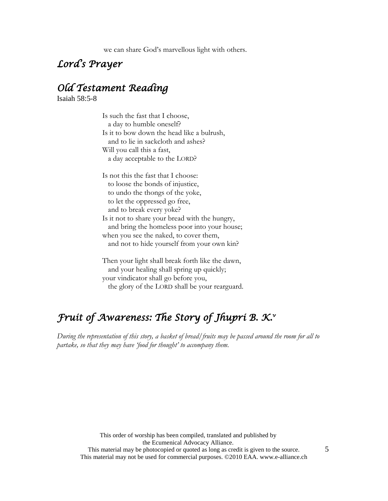we can share God's marvellous light with others.

### Lord's Prayer

### Old Testament Reading

Isaiah 58:5-8

Is such the fast that I choose, a day to humble oneself? Is it to bow down the head like a bulrush, and to lie in sackcloth and ashes? Will you call this a fast, a day acceptable to the LORD?

Is not this the fast that I choose: to loose the bonds of injustice, to undo the thongs of the yoke, to let the oppressed go free, and to break every yoke? Is it not to share your bread with the hungry, and bring the homeless poor into your house; when you see the naked, to cover them, and not to hide yourself from your own kin?

Then your light shall break forth like the dawn, and your healing shall spring up quickly; your vindicator shall go before you, the glory of the LORD shall be your rearguard.

### Fruit of Awareness: The Story of Jhupri B. K. $^{\prime\prime}$

During the representation of this story, a basket of bread/fruits may be passed around the room for all to partake, so that they may have 'food for thought' to accompany them.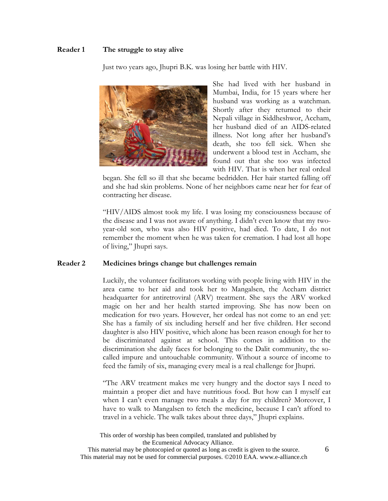#### Reader 1 The struggle to stay alive

Just two years ago, Jhupri B.K. was losing her battle with HIV.



She had lived with her husband in Mumbai, India, for 15 years where her husband was working as a watchman. Shortly after they returned to their Nepali village in Siddheshwor, Accham, her husband died of an AIDS-related illness. Not long after her husband's death, she too fell sick. When she underwent a blood test in Accham, she found out that she too was infected with HIV. That is when her real ordeal

began. She fell so ill that she became bedridden. Her hair started falling off and she had skin problems. None of her neighbors came near her for fear of contracting her disease.

"HIV/AIDS almost took my life. I was losing my consciousness because of the disease and I was not aware of anything. I didn't even know that my twoyear-old son, who was also HIV positive, had died. To date, I do not remember the moment when he was taken for cremation. I had lost all hope of living," Jhupri says.

#### Reader 2 Medicines brings change but challenges remain

Luckily, the volunteer facilitators working with people living with HIV in the area came to her aid and took her to Mangalsen, the Accham district headquarter for antiretroviral (ARV) treatment. She says the ARV worked magic on her and her health started improving. She has now been on medication for two years. However, her ordeal has not come to an end yet: She has a family of six including herself and her five children. Her second daughter is also HIV positive, which alone has been reason enough for her to be discriminated against at school. This comes in addition to the discrimination she daily faces for belonging to the Dalit community, the socalled impure and untouchable community. Without a source of income to feed the family of six, managing every meal is a real challenge for Jhupri.

"The ARV treatment makes me very hungry and the doctor says I need to maintain a proper diet and have nutritious food. But how can I myself eat when I can't even manage two meals a day for my children? Moreover, I have to walk to Mangalsen to fetch the medicine, because I can't afford to travel in a vehicle. The walk takes about three days," Jhupri explains.

This order of worship has been compiled, translated and published by the Ecumenical Advocacy Alliance.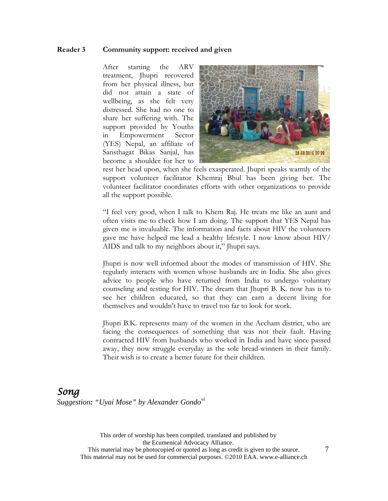#### Reader 3 Community support: received and given

After starting the ARV treatment, Jhupri recovered from her physical illness, but did not attain a state of wellbeing, as she felt very distressed. She had no one to share her suffering with. The support provided by Youths in Empowerment Sector (YES) Nepal, an affiliate of Sansthagat Bikas Sanjal, has become a shoulder for her to



rest her head upon, when she feels exasperated. Jhupri speaks warmly of the support volunteer facilitator Khemraj Bhul has been giving her. The volunteer facilitator coordinates efforts with other organizations to provide all the support possible.

"I feel very good, when I talk to Khem Raj. He treats me like an aunt and often visits me to check how I am doing. The support that YES Nepal has given me is invaluable. The information and facts about HIV the volunteers gave me have helped me lead a healthy lifestyle. I now know about HIV/ AIDS and talk to my neighbors about it," Jhupri says.

Jhupri is now well informed about the modes of transmission of HIV. She regularly interacts with women whose husbands are in India. She also gives advice to people who have returned from India to undergo voluntary counseling and testing for HIV. The dream that Jhupri B. K. now has is to see her children educated, so that they can earn a decent living for themselves and wouldn't have to travel too far to look for work.

Jhupri B.K. represents many of the women in the Accham district, who are facing the consequences of something that was not their fault. Having contracted HIV from husbands who worked in India and have since passed away, they now struggle everyday as the sole bread-winners in their family. Their wish is to create a better future for their children.

### Song

*Suggestion: "Uyai Mose" by Alexander Gondovi*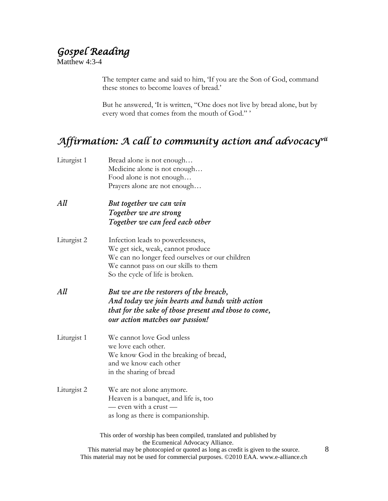# Gospel Reading

Matthew 4:3-4

The tempter came and said to him, 'If you are the Son of God, command these stones to become loaves of bread.'

But he answered, 'It is written, "One does not live by bread alone, but by every word that comes from the mouth of God." '

# Affirmation: A call to community action and advocacy $\it{r^{ii}}$

| Liturgist 1 | Bread alone is not enough<br>Medicine alone is not enough<br>Food alone is not enough<br>Prayers alone are not enough                                                                                                                                                                    |
|-------------|------------------------------------------------------------------------------------------------------------------------------------------------------------------------------------------------------------------------------------------------------------------------------------------|
| All         | But together we can win<br>Together we are strong<br>Together we can feed each other                                                                                                                                                                                                     |
| Liturgist 2 | Infection leads to powerlessness,<br>We get sick, weak, cannot produce<br>We can no longer feed ourselves or our children<br>We cannot pass on our skills to them<br>So the cycle of life is broken.                                                                                     |
| All         | But we are the restorers of the breach,<br>And today we join hearts and hands with action<br>that for the sake of those present and those to come,<br>our action matches our passion!                                                                                                    |
| Liturgist 1 | We cannot love God unless<br>we love each other.<br>We know God in the breaking of bread,<br>and we know each other<br>in the sharing of bread                                                                                                                                           |
| Liturgist 2 | We are not alone anymore.<br>Heaven is a banquet, and life is, too<br>— even with a crust —<br>as long as there is companionship.                                                                                                                                                        |
|             | This order of worship has been compiled, translated and published by<br>the Ecumenical Advocacy Alliance.<br>This material may be photocopied or quoted as long as credit is given to the source.<br>This material may not be used for commercial purposes. ©2010 EAA. www.e-alliance.ch |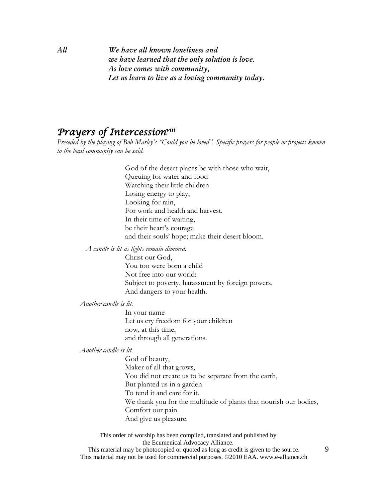All We have all known loneliness and we have learned that the only solution is love. As love comes with community, Let us learn to live as a loving community today.

### Prayers of Intercession<sup>viii</sup>

Preceded by the playing of Bob Marley's "Could you be loved". Specific prayers for people or projects known to the local community can be said.

> God of the desert places be with those who wait, Queuing for water and food Watching their little children Losing energy to play, Looking for rain, For work and health and harvest. In their time of waiting, be their heart's courage and their souls' hope; make their desert bloom.

A candle is lit as lights remain dimmed.

Christ our God, You too were born a child Not free into our world: Subject to poverty, harassment by foreign powers, And dangers to your health.

Another candle is lit.

In your name Let us cry freedom for your children now, at this time, and through all generations.

Another candle is lit.

God of beauty, Maker of all that grows, You did not create us to be separate from the earth, But planted us in a garden To tend it and care for it. We thank you for the multitude of plants that nourish our bodies, Comfort our pain And give us pleasure.

This order of worship has been compiled, translated and published by the Ecumenical Advocacy Alliance.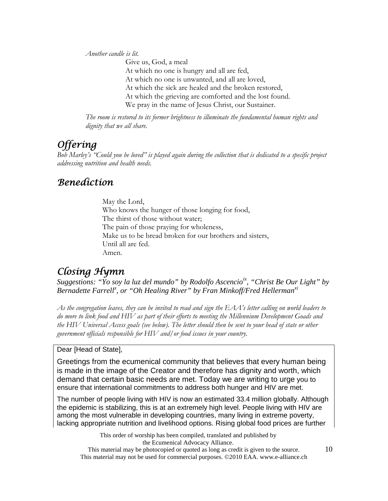Another candle is lit.

Give us, God, a meal At which no one is hungry and all are fed, At which no one is unwanted, and all are loved, At which the sick are healed and the broken restored, At which the grieving are comforted and the lost found. We pray in the name of Jesus Christ, our Sustainer.

The room is restored to its former brightness to illuminate the fundamental human rights and dignity that we all share.

# **Offering**

Bob Marley's "Could you be loved" is played again during the collection that is dedicated to a specific project addressing nutrition and health needs.

### Benediction

May the Lord, Who knows the hunger of those longing for food, The thirst of those without water; The pain of those praying for wholeness, Make us to be bread broken for our brothers and sisters, Until all are fed. Amen.

## Closing Hymn

*Suggestions: "Yo soy la luz del mundo" by Rodolfo Ascencioix, "Christ Be Our Light" by Bernadette Farrell<sup>x</sup> , or "Oh Healing River" by Fran Minkoff/Fred Hellerman xi*

As the congregation leaves, they can be invited to read and sign the  $EAA$ 's letter calling on world leaders to do more to link food and HIV as part of their efforts to meeting the Millennium Development Goads and the HIV Universal Access goals (see below). The letter should then be sent to your head of state or other government officials responsible for HIV and/or food issues in your country.

Dear [Head of State],

Greetings from the ecumenical community that believes that every human being is made in the image of the Creator and therefore has dignity and worth, which demand that certain basic needs are met. Today we are writing to urge you to ensure that international commitments to address both hunger and HIV are met.

The number of people living with HIV is now an estimated 33.4 million globally. Although the epidemic is stabilizing, this is at an extremely high level. People living with HIV are among the most vulnerable in developing countries, many living in extreme poverty, lacking appropriate nutrition and livelihood options. Rising global food prices are further

> This order of worship has been compiled, translated and published by the Ecumenical Advocacy Alliance.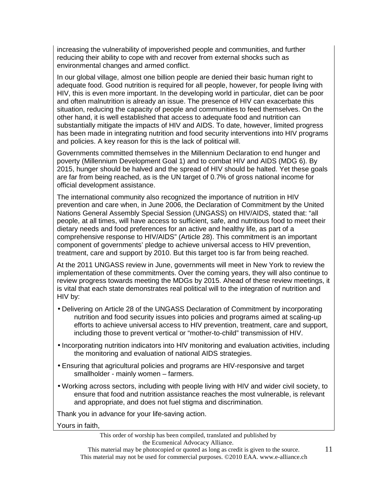increasing the vulnerability of impoverished people and communities, and further reducing their ability to cope with and recover from external shocks such as environmental changes and armed conflict.

In our global village, almost one billion people are denied their basic human right to adequate food. Good nutrition is required for all people, however, for people living with HIV, this is even more important. In the developing world in particular, diet can be poor and often malnutrition is already an issue. The presence of HIV can exacerbate this situation, reducing the capacity of people and communities to feed themselves. On the other hand, it is well established that access to adequate food and nutrition can substantially mitigate the impacts of HIV and AIDS. To date, however, limited progress has been made in integrating nutrition and food security interventions into HIV programs and policies. A key reason for this is the lack of political will.

Governments committed themselves in the Millennium Declaration to end hunger and poverty (Millennium Development Goal 1) and to combat HIV and AIDS (MDG 6). By 2015, hunger should be halved and the spread of HIV should be halted. Yet these goals are far from being reached, as is the UN target of 0.7% of gross national income for official development assistance.

The international community also recognized the importance of nutrition in HIV prevention and care when, in June 2006, the Declaration of Commitment by the United Nations General Assembly Special Session (UNGASS) on HIV/AIDS, stated that: "all people, at all times, will have access to sufficient, safe, and nutritious food to meet their dietary needs and food preferences for an active and healthy life, as part of a comprehensive response to HIV/AIDS" (Article 28). This commitment is an important component of governments' pledge to achieve universal access to HIV prevention, treatment, care and support by 2010. But this target too is far from being reached.

At the 2011 UNGASS review in June, governments will meet in New York to review the implementation of these commitments. Over the coming years, they will also continue to review progress towards meeting the MDGs by 2015. Ahead of these review meetings, it is vital that each state demonstrates real political will to the integration of nutrition and HIV by:

- Delivering on Article 28 of the UNGASS Declaration of Commitment by incorporating nutrition and food security issues into policies and programs aimed at scaling-up efforts to achieve universal access to HIV prevention, treatment, care and support, including those to prevent vertical or "mother-to-child" transmission of HIV.
- Incorporating nutrition indicators into HIV monitoring and evaluation activities, including the monitoring and evaluation of national AIDS strategies.
- Ensuring that agricultural policies and programs are HIV-responsive and target smallholder - mainly women – farmers.
- Working across sectors, including with people living with HIV and wider civil society, to ensure that food and nutrition assistance reaches the most vulnerable, is relevant and appropriate, and does not fuel stigma and discrimination.

Thank you in advance for your life-saving action.

Yours in faith,

This order of worship has been compiled, translated and published by the Ecumenical Advocacy Alliance.